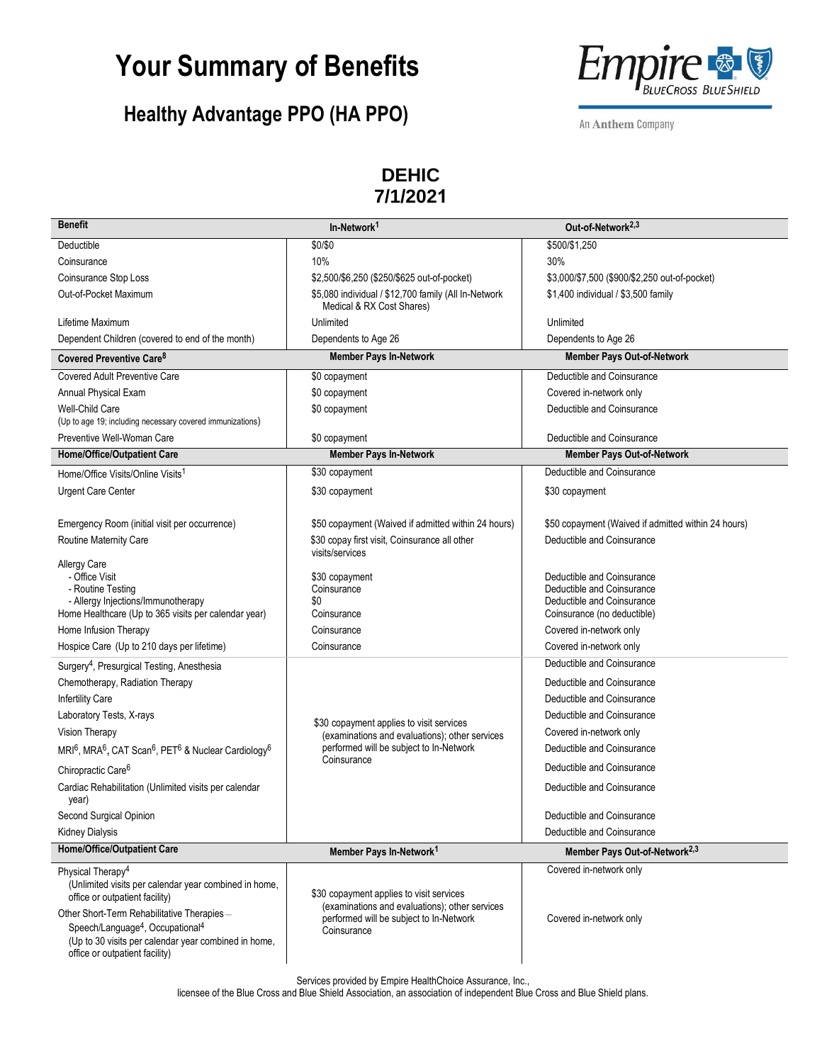### **Your Summary of Benefits**

### **Healthy Advantage PPO (HA PPO)**



An Anthem Company

#### **DEHIC 7/1/2021**

| <b>Benefit</b>                                                                                                                                                                                                                                                                                                                                                                                                                                                                                                                                                                                                                                           | In-Network <sup>1</sup>                                                                                                                                                                                                                   | Out-of-Network <sup>2,3</sup>                                                                                                                                                                                                                                                                                                                                                                                                                          |
|----------------------------------------------------------------------------------------------------------------------------------------------------------------------------------------------------------------------------------------------------------------------------------------------------------------------------------------------------------------------------------------------------------------------------------------------------------------------------------------------------------------------------------------------------------------------------------------------------------------------------------------------------------|-------------------------------------------------------------------------------------------------------------------------------------------------------------------------------------------------------------------------------------------|--------------------------------------------------------------------------------------------------------------------------------------------------------------------------------------------------------------------------------------------------------------------------------------------------------------------------------------------------------------------------------------------------------------------------------------------------------|
| Deductible                                                                                                                                                                                                                                                                                                                                                                                                                                                                                                                                                                                                                                               | \$0/\$0                                                                                                                                                                                                                                   | \$500/\$1,250                                                                                                                                                                                                                                                                                                                                                                                                                                          |
| Coinsurance                                                                                                                                                                                                                                                                                                                                                                                                                                                                                                                                                                                                                                              | 10%                                                                                                                                                                                                                                       | 30%                                                                                                                                                                                                                                                                                                                                                                                                                                                    |
| Coinsurance Stop Loss                                                                                                                                                                                                                                                                                                                                                                                                                                                                                                                                                                                                                                    | \$2,500/\$6,250 (\$250/\$625 out-of-pocket)                                                                                                                                                                                               | \$3,000/\$7,500 (\$900/\$2,250 out-of-pocket)                                                                                                                                                                                                                                                                                                                                                                                                          |
| Out-of-Pocket Maximum                                                                                                                                                                                                                                                                                                                                                                                                                                                                                                                                                                                                                                    | \$5,080 individual / \$12,700 family (All In-Network<br>Medical & RX Cost Shares)                                                                                                                                                         | \$1,400 individual / \$3,500 family                                                                                                                                                                                                                                                                                                                                                                                                                    |
| Lifetime Maximum                                                                                                                                                                                                                                                                                                                                                                                                                                                                                                                                                                                                                                         | Unlimited                                                                                                                                                                                                                                 | Unlimited                                                                                                                                                                                                                                                                                                                                                                                                                                              |
| Dependent Children (covered to end of the month)                                                                                                                                                                                                                                                                                                                                                                                                                                                                                                                                                                                                         | Dependents to Age 26                                                                                                                                                                                                                      | Dependents to Age 26                                                                                                                                                                                                                                                                                                                                                                                                                                   |
| Covered Preventive Care <sup>8</sup>                                                                                                                                                                                                                                                                                                                                                                                                                                                                                                                                                                                                                     | <b>Member Pays In-Network</b>                                                                                                                                                                                                             | <b>Member Pays Out-of-Network</b>                                                                                                                                                                                                                                                                                                                                                                                                                      |
| <b>Covered Adult Preventive Care</b>                                                                                                                                                                                                                                                                                                                                                                                                                                                                                                                                                                                                                     | \$0 copayment                                                                                                                                                                                                                             | Deductible and Coinsurance                                                                                                                                                                                                                                                                                                                                                                                                                             |
| Annual Physical Exam                                                                                                                                                                                                                                                                                                                                                                                                                                                                                                                                                                                                                                     | \$0 copayment                                                                                                                                                                                                                             | Covered in-network only                                                                                                                                                                                                                                                                                                                                                                                                                                |
| Well-Child Care                                                                                                                                                                                                                                                                                                                                                                                                                                                                                                                                                                                                                                          | \$0 copayment                                                                                                                                                                                                                             | Deductible and Coinsurance                                                                                                                                                                                                                                                                                                                                                                                                                             |
| (Up to age 19; including necessary covered immunizations)                                                                                                                                                                                                                                                                                                                                                                                                                                                                                                                                                                                                |                                                                                                                                                                                                                                           |                                                                                                                                                                                                                                                                                                                                                                                                                                                        |
| Preventive Well-Woman Care                                                                                                                                                                                                                                                                                                                                                                                                                                                                                                                                                                                                                               | \$0 copayment                                                                                                                                                                                                                             | Deductible and Coinsurance                                                                                                                                                                                                                                                                                                                                                                                                                             |
| Home/Office/Outpatient Care                                                                                                                                                                                                                                                                                                                                                                                                                                                                                                                                                                                                                              | <b>Member Pays In-Network</b>                                                                                                                                                                                                             | <b>Member Pays Out-of-Network</b>                                                                                                                                                                                                                                                                                                                                                                                                                      |
| Home/Office Visits/Online Visits <sup>1</sup>                                                                                                                                                                                                                                                                                                                                                                                                                                                                                                                                                                                                            | \$30 copayment                                                                                                                                                                                                                            | Deductible and Coinsurance                                                                                                                                                                                                                                                                                                                                                                                                                             |
| <b>Urgent Care Center</b>                                                                                                                                                                                                                                                                                                                                                                                                                                                                                                                                                                                                                                | \$30 copayment                                                                                                                                                                                                                            | \$30 copayment                                                                                                                                                                                                                                                                                                                                                                                                                                         |
| Emergency Room (initial visit per occurrence)                                                                                                                                                                                                                                                                                                                                                                                                                                                                                                                                                                                                            | \$50 copayment (Waived if admitted within 24 hours)                                                                                                                                                                                       | \$50 copayment (Waived if admitted within 24 hours)                                                                                                                                                                                                                                                                                                                                                                                                    |
| Routine Maternity Care                                                                                                                                                                                                                                                                                                                                                                                                                                                                                                                                                                                                                                   | \$30 copay first visit, Coinsurance all other<br>visits/services                                                                                                                                                                          | Deductible and Coinsurance                                                                                                                                                                                                                                                                                                                                                                                                                             |
| <b>Allergy Care</b><br>- Office Visit<br>- Routine Testing<br>- Allergy Injections/Immunotherapy<br>Home Healthcare (Up to 365 visits per calendar year)<br>Home Infusion Therapy<br>Hospice Care (Up to 210 days per lifetime)<br>Surgery <sup>4</sup> , Presurgical Testing, Anesthesia<br>Chemotherapy, Radiation Therapy<br><b>Infertility Care</b><br>Laboratory Tests, X-rays<br>Vision Therapy<br>MRI <sup>6</sup> , MRA <sup>6</sup> , CAT Scan <sup>6</sup> , PET <sup>6</sup> & Nuclear Cardiology <sup>6</sup><br>Chiropractic Care <sup>6</sup><br>Cardiac Rehabilitation (Unlimited visits per calendar<br>year)<br>Second Surgical Opinion | \$30 copayment<br>Coinsurance<br>\$0<br>Coinsurance<br>Coinsurance<br>Coinsurance<br>\$30 copayment applies to visit services<br>(examinations and evaluations); other services<br>performed will be subject to In-Network<br>Coinsurance | Deductible and Coinsurance<br>Deductible and Coinsurance<br>Deductible and Coinsurance<br>Coinsurance (no deductible)<br>Covered in-network only<br>Covered in-network only<br>Deductible and Coinsurance<br>Deductible and Coinsurance<br>Deductible and Coinsurance<br>Deductible and Coinsurance<br>Covered in-network only<br>Deductible and Coinsurance<br>Deductible and Coinsurance<br>Deductible and Coinsurance<br>Deductible and Coinsurance |
| <b>Kidney Dialysis</b><br><b>Home/Office/Outpatient Care</b>                                                                                                                                                                                                                                                                                                                                                                                                                                                                                                                                                                                             |                                                                                                                                                                                                                                           | Deductible and Coinsurance                                                                                                                                                                                                                                                                                                                                                                                                                             |
|                                                                                                                                                                                                                                                                                                                                                                                                                                                                                                                                                                                                                                                          | Member Pays In-Network <sup>1</sup>                                                                                                                                                                                                       | Member Pays Out-of-Network <sup>2,3</sup>                                                                                                                                                                                                                                                                                                                                                                                                              |
| Physical Therapy <sup>4</sup><br>(Unlimited visits per calendar year combined in home,<br>office or outpatient facility)<br>Other Short-Term Rehabilitative Therapies-<br>Speech/Language <sup>4</sup> , Occupational <sup>4</sup><br>(Up to 30 visits per calendar year combined in home,<br>office or outpatient facility)                                                                                                                                                                                                                                                                                                                             | \$30 copayment applies to visit services<br>(examinations and evaluations); other services<br>performed will be subject to In-Network<br>Coinsurance                                                                                      | Covered in-network only<br>Covered in-network only                                                                                                                                                                                                                                                                                                                                                                                                     |

Services provided by Empire HealthChoice Assurance, Inc.,

licensee of the Blue Cross and Blue Shield Association, an association of independent Blue Cross and Blue Shield plans.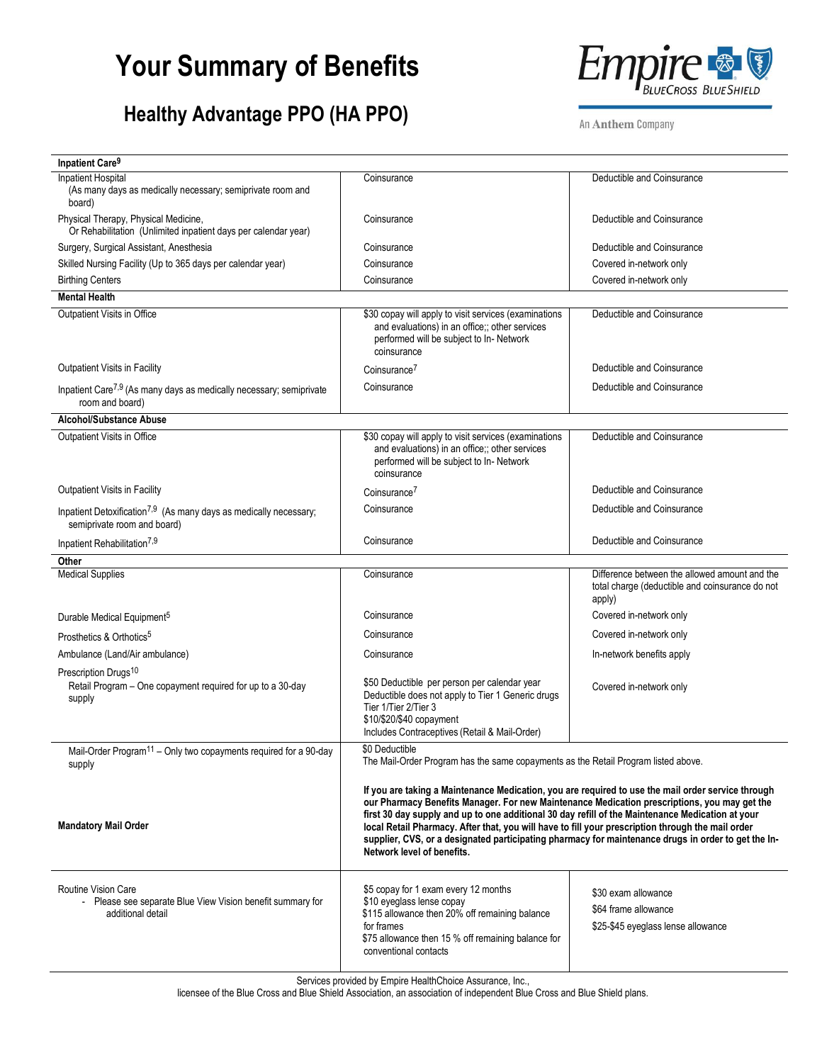# **Your Summary of Benefits**

### **Healthy Advantage PPO (HA PPO)**



An Anthem Company

| <b>Inpatient Care<sup>9</sup></b>                                                                             |                                                                                                                                                                                                                                                                                                                                                                                                                                                                                                                                                  |                                                                                                            |
|---------------------------------------------------------------------------------------------------------------|--------------------------------------------------------------------------------------------------------------------------------------------------------------------------------------------------------------------------------------------------------------------------------------------------------------------------------------------------------------------------------------------------------------------------------------------------------------------------------------------------------------------------------------------------|------------------------------------------------------------------------------------------------------------|
| Inpatient Hospital<br>(As many days as medically necessary; semiprivate room and<br>board)                    | Coinsurance                                                                                                                                                                                                                                                                                                                                                                                                                                                                                                                                      | Deductible and Coinsurance                                                                                 |
| Physical Therapy, Physical Medicine,<br>Or Rehabilitation (Unlimited inpatient days per calendar year)        | Coinsurance                                                                                                                                                                                                                                                                                                                                                                                                                                                                                                                                      | Deductible and Coinsurance                                                                                 |
| Surgery, Surgical Assistant, Anesthesia                                                                       | Coinsurance                                                                                                                                                                                                                                                                                                                                                                                                                                                                                                                                      | Deductible and Coinsurance                                                                                 |
| Skilled Nursing Facility (Up to 365 days per calendar year)                                                   | Coinsurance                                                                                                                                                                                                                                                                                                                                                                                                                                                                                                                                      | Covered in-network only                                                                                    |
| <b>Birthing Centers</b>                                                                                       | Coinsurance                                                                                                                                                                                                                                                                                                                                                                                                                                                                                                                                      | Covered in-network only                                                                                    |
| <b>Mental Health</b>                                                                                          |                                                                                                                                                                                                                                                                                                                                                                                                                                                                                                                                                  |                                                                                                            |
| Outpatient Visits in Office                                                                                   | \$30 copay will apply to visit services (examinations<br>and evaluations) in an office;; other services<br>performed will be subject to In- Network<br>coinsurance                                                                                                                                                                                                                                                                                                                                                                               | Deductible and Coinsurance                                                                                 |
| Outpatient Visits in Facility                                                                                 | Coinsurance <sup>7</sup>                                                                                                                                                                                                                                                                                                                                                                                                                                                                                                                         | Deductible and Coinsurance                                                                                 |
| Inpatient Care <sup>7,9</sup> (As many days as medically necessary; semiprivate<br>room and board)            | Coinsurance                                                                                                                                                                                                                                                                                                                                                                                                                                                                                                                                      | Deductible and Coinsurance                                                                                 |
| Alcohol/Substance Abuse                                                                                       |                                                                                                                                                                                                                                                                                                                                                                                                                                                                                                                                                  |                                                                                                            |
| Outpatient Visits in Office                                                                                   | \$30 copay will apply to visit services (examinations<br>and evaluations) in an office;; other services<br>performed will be subject to In- Network<br>coinsurance                                                                                                                                                                                                                                                                                                                                                                               | Deductible and Coinsurance                                                                                 |
| Outpatient Visits in Facility                                                                                 | Coinsurance <sup>7</sup>                                                                                                                                                                                                                                                                                                                                                                                                                                                                                                                         | Deductible and Coinsurance                                                                                 |
| Inpatient Detoxification <sup>7,9</sup> (As many days as medically necessary;<br>semiprivate room and board)  | Coinsurance                                                                                                                                                                                                                                                                                                                                                                                                                                                                                                                                      | Deductible and Coinsurance                                                                                 |
| Inpatient Rehabilitation <sup>7,9</sup>                                                                       | Coinsurance                                                                                                                                                                                                                                                                                                                                                                                                                                                                                                                                      | Deductible and Coinsurance                                                                                 |
| Other                                                                                                         |                                                                                                                                                                                                                                                                                                                                                                                                                                                                                                                                                  |                                                                                                            |
| <b>Medical Supplies</b>                                                                                       | Coinsurance                                                                                                                                                                                                                                                                                                                                                                                                                                                                                                                                      | Difference between the allowed amount and the<br>total charge (deductible and coinsurance do not<br>apply) |
| Durable Medical Equipment <sup>5</sup>                                                                        | Coinsurance                                                                                                                                                                                                                                                                                                                                                                                                                                                                                                                                      | Covered in-network only                                                                                    |
| Prosthetics & Orthotics <sup>5</sup>                                                                          | Coinsurance                                                                                                                                                                                                                                                                                                                                                                                                                                                                                                                                      | Covered in-network only                                                                                    |
| Ambulance (Land/Air ambulance)                                                                                | Coinsurance                                                                                                                                                                                                                                                                                                                                                                                                                                                                                                                                      | In-network benefits apply                                                                                  |
| Prescription Drugs <sup>10</sup><br>Retail Program - One copayment required for up to a 30-day<br>supply      | \$50 Deductible per person per calendar year<br>Deductible does not apply to Tier 1 Generic drugs<br>Tier 1/Tier 2/Tier 3<br>\$10/\$20/\$40 copayment<br>Includes Contraceptives (Retail & Mail-Order)                                                                                                                                                                                                                                                                                                                                           | Covered in-network only                                                                                    |
| Mail-Order Program <sup>11</sup> – Only two copayments required for a 90-day<br>supply                        | \$0 Deductible<br>The Mail-Order Program has the same copayments as the Retail Program listed above.                                                                                                                                                                                                                                                                                                                                                                                                                                             |                                                                                                            |
| <b>Mandatory Mail Order</b>                                                                                   | If you are taking a Maintenance Medication, you are required to use the mail order service through<br>our Pharmacy Benefits Manager. For new Maintenance Medication prescriptions, you may get the<br>first 30 day supply and up to one additional 30 day refill of the Maintenance Medication at your<br>local Retail Pharmacy. After that, you will have to fill your prescription through the mail order<br>supplier, CVS, or a designated participating pharmacy for maintenance drugs in order to get the In-<br>Network level of benefits. |                                                                                                            |
| <b>Routine Vision Care</b><br>- Please see separate Blue View Vision benefit summary for<br>additional detail | \$5 copay for 1 exam every 12 months<br>\$10 eyeglass lense copay<br>\$115 allowance then 20% off remaining balance<br>for frames<br>\$75 allowance then 15 % off remaining balance for<br>conventional contacts                                                                                                                                                                                                                                                                                                                                 | \$30 exam allowance<br>\$64 frame allowance<br>\$25-\$45 eyeglass lense allowance                          |

Services provided by Empire HealthChoice Assurance, Inc.,

licensee of the Blue Cross and Blue Shield Association, an association of independent Blue Cross and Blue Shield plans.